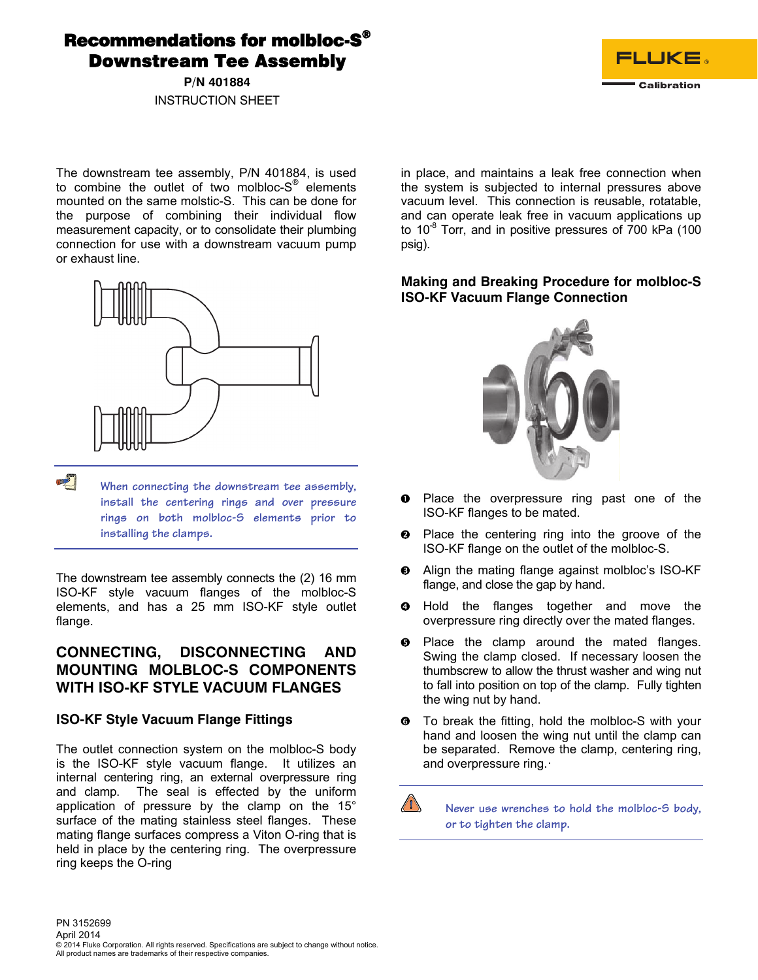Recommendations for molbloc-S® Downstream Tee Assembly

> **P/N 401884**  INSTRUCTION SHEET

> > in place, and maintains a leak free connection when the system is subjected to internal pressures above vacuum level. This connection is reusable, rotatable, and can operate leak free in vacuum applications up to 10 $^8$  Torr, and in positive pressures of 700 kPa (100

> > > psig).

### **Making and Breaking Procedure for molbloc-S ISO-KF Vacuum Flange Connection**

**FLUKE.** 

Calibration

**O** Place the overpressure ring past one of the ISO-KF flanges to be mated.

- **2** Place the centering ring into the groove of the ISO-KF flange on the outlet of the molbloc-S.
- $\Theta$  Align the mating flange against molbloc's ISO-KF flange, and close the gap by hand.
- **O** Hold the flanges together and move the overpressure ring directly over the mated flanges.
- $\Theta$  Place the clamp around the mated flanges. Swing the clamp closed. If necessary loosen the thumbscrew to allow the thrust washer and wing nut to fall into position on top of the clamp. Fully tighten the wing nut by hand.
- **To break the fitting, hold the molbloc-S with your** hand and loosen the wing nut until the clamp can be separated. Remove the clamp, centering ring, and overpressure ring.·

 $\sqrt{N}$  **Never use wrenches to hold the molbloc-S body, or to tighten the clamp.** 

The downstream tee assembly, P/N 401884, is used to combine the outlet of two molbloc- $S^{\mathbb{B}}$  elements mounted on the same molstic-S. This can be done for the purpose of combining their individual flow measurement capacity, or to consolidate their plumbing connection for use with a downstream vacuum pump or exhaust line.



**When connecting the downstream tee assembly, install the centering rings and over pressure rings on both molbloc-S elements prior to installing the clamps.** 

The downstream tee assembly connects the (2) 16 mm ISO-KF style vacuum flanges of the molbloc-S elements, and has a 25 mm ISO-KF style outlet flange.

# **CONNECTING, DISCONNECTING AND MOUNTING MOLBLOC-S COMPONENTS WITH ISO-KF STYLE VACUUM FLANGES**

### **ISO-KF Style Vacuum Flange Fittings**

The outlet connection system on the molbloc-S body is the ISO-KF style vacuum flange. It utilizes an internal centering ring, an external overpressure ring and clamp. The seal is effected by the uniform application of pressure by the clamp on the 15° surface of the mating stainless steel flanges. These mating flange surfaces compress a Viton O-ring that is held in place by the centering ring. The overpressure ring keeps the O-ring